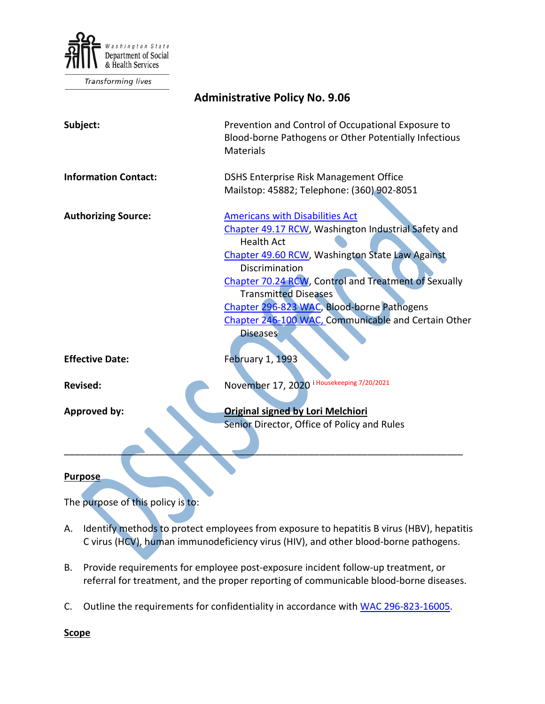

Transforming lives

| <b>Administrative Policy No. 9.06</b>                                                                                                                                                                                                                                                                                                                                                                  |
|--------------------------------------------------------------------------------------------------------------------------------------------------------------------------------------------------------------------------------------------------------------------------------------------------------------------------------------------------------------------------------------------------------|
| Prevention and Control of Occupational Exposure to<br>Blood-borne Pathogens or Other Potentially Infectious<br>Materials                                                                                                                                                                                                                                                                               |
| DSHS Enterprise Risk Management Office<br>Mailstop: 45882; Telephone: (360) 902-8051                                                                                                                                                                                                                                                                                                                   |
| <b>Americans with Disabilities Act</b><br>Chapter 49.17 RCW, Washington Industrial Safety and<br><b>Health Act</b><br>Chapter 49.60 RCW, Washington State Law Against<br>Discrimination<br>Chapter 70.24 RCW, Control and Treatment of Sexually<br><b>Transmitted Diseases</b><br>Chapter 296-823 WAC, Blood-borne Pathogens<br>Chapter 246-100 WAC, Communicable and Certain Other<br><b>Diseases</b> |
| <b>February 1, 1993</b>                                                                                                                                                                                                                                                                                                                                                                                |
| November 17, 2020 i Housekeeping 7/20/2021                                                                                                                                                                                                                                                                                                                                                             |
| <b>Original signed by Lori Melchiori</b><br>Senior Director, Office of Policy and Rules                                                                                                                                                                                                                                                                                                                |
|                                                                                                                                                                                                                                                                                                                                                                                                        |

## **Purpose**

The purpose of this policy is to:

- A. Identify methods to protect employees from exposure to hepatitis B virus (HBV), hepatitis C virus (HCV), human immunodeficiency virus (HIV), and other blood-borne pathogens.
- B. Provide requirements for employee post-exposure incident follow-up treatment, or referral for treatment, and the proper reporting of communicable blood-borne diseases.
- C. Outline the requirements for confidentiality in accordance with [WAC 296-823-16005.](http://apps.leg.wa.gov/WAC/default.aspx?cite=296-823-16005)

**Scope**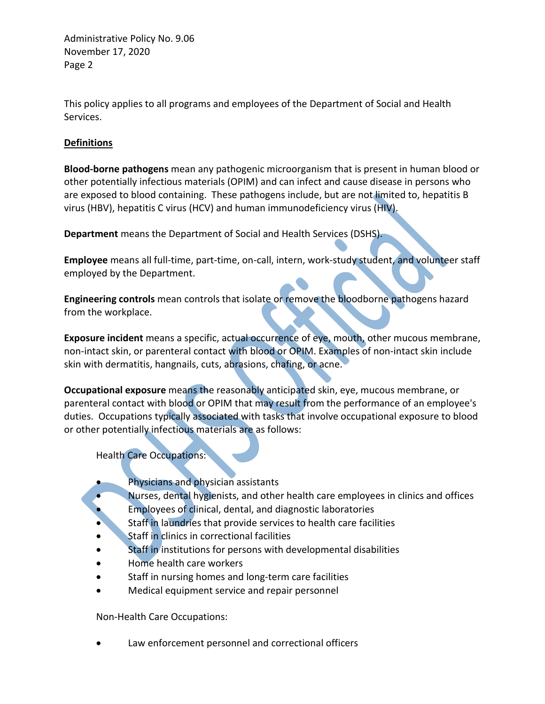This policy applies to all programs and employees of the Department of Social and Health Services.

## **Definitions**

**Blood-borne pathogens** mean any pathogenic microorganism that is present in human blood or other potentially infectious materials (OPIM) and can infect and cause disease in persons who are exposed to blood containing. These pathogens include, but are not limited to, hepatitis B virus (HBV), hepatitis C virus (HCV) and human immunodeficiency virus (HIV).

**Department** means the Department of Social and Health Services (DSHS).

**Employee** means all full-time, part-time, on-call, intern, work-study student, and volunteer staff employed by the Department.

**Engineering controls** mean controls that isolate or remove the bloodborne pathogens hazard from the workplace.

**Exposure incident** means a specific, actual occurrence of eye, mouth, other mucous membrane, non-intact skin, or parenteral contact with blood or OPIM. Examples of non-intact skin include skin with dermatitis, hangnails, cuts, abrasions, chafing, or acne.

**Occupational exposure** means the reasonably anticipated skin, eye, mucous membrane, or parenteral contact with blood or OPIM that may result from the performance of an employee's duties. Occupations typically associated with tasks that involve occupational exposure to blood or other potentially infectious materials are as follows:

Health Care Occupations:

- Physicians and physician assistants
	- Nurses, dental hygienists, and other health care employees in clinics and offices
- Employees of clinical, dental, and diagnostic laboratories
- Staff in laundries that provide services to health care facilities
- Staff in clinics in correctional facilities
- Staff in institutions for persons with developmental disabilities
- Home health care workers
- Staff in nursing homes and long-term care facilities
- Medical equipment service and repair personnel

Non-Health Care Occupations:

Law enforcement personnel and correctional officers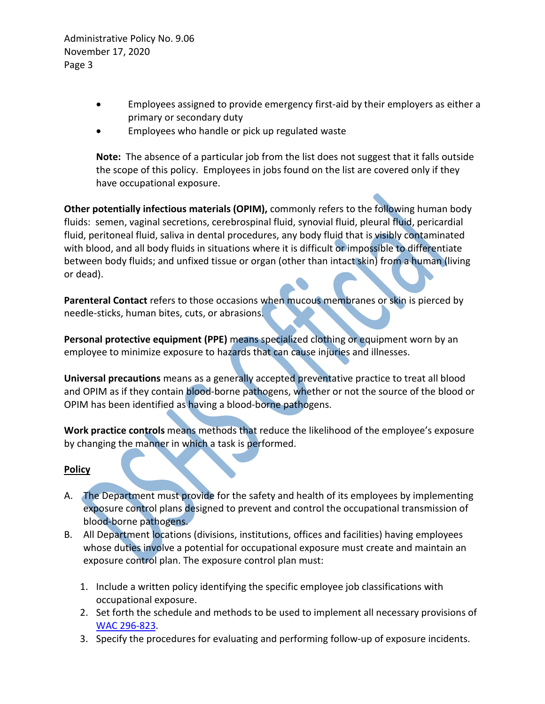- Employees assigned to provide emergency first-aid by their employers as either a primary or secondary duty
- Employees who handle or pick up regulated waste

**Note:** The absence of a particular job from the list does not suggest that it falls outside the scope of this policy. Employees in jobs found on the list are covered only if they have occupational exposure.

**Other potentially infectious materials (OPIM),** commonly refers to the following human body fluids: semen, vaginal secretions, cerebrospinal fluid, synovial fluid, pleural fluid, pericardial fluid, peritoneal fluid, saliva in dental procedures, any body fluid that is visibly contaminated with blood, and all body fluids in situations where it is difficult or impossible to differentiate between body fluids; and unfixed tissue or organ (other than intact skin) from a human (living or dead).

**Parenteral Contact** refers to those occasions when mucous membranes or skin is pierced by needle-sticks, human bites, cuts, or abrasions.

**Personal protective equipment (PPE)** means specialized clothing or equipment worn by an employee to minimize exposure to hazards that can cause injuries and illnesses.

**Universal precautions** means as a generally accepted preventative practice to treat all blood and OPIM as if they contain blood-borne pathogens, whether or not the source of the blood or OPIM has been identified as having a blood-borne pathogens.

**Work practice controls** means methods that reduce the likelihood of the employee's exposure by changing the manner in which a task is performed.

## **Policy**

- A. The Department must provide for the safety and health of its employees by implementing exposure control plans designed to prevent and control the occupational transmission of blood-borne pathogens.
- B. All Department locations (divisions, institutions, offices and facilities) having employees whose duties involve a potential for occupational exposure must create and maintain an exposure control plan. The exposure control plan must:
	- 1. Include a written policy identifying the specific employee job classifications with occupational exposure.
	- 2. Set forth the schedule and methods to be used to implement all necessary provisions of [WAC 296-823.](http://apps.leg.wa.gov/WAC/default.aspx?cite=296-823)
	- 3. Specify the procedures for evaluating and performing follow-up of exposure incidents.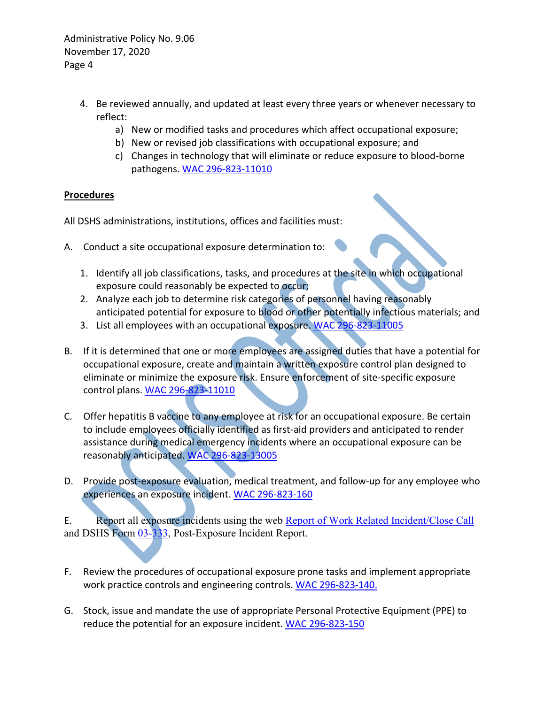- 4. Be reviewed annually, and updated at least every three years or whenever necessary to reflect:
	- a) New or modified tasks and procedures which affect occupational exposure;
	- b) New or revised job classifications with occupational exposure; and
	- c) Changes in technology that will eliminate or reduce exposure to blood-borne pathogens[. WAC 296-823-11010](http://apps.leg.wa.gov/WAC/default.aspx?cite=296-823-11010)

## **Procedures**

All DSHS administrations, institutions, offices and facilities must:

- A. Conduct a site occupational exposure determination to:
	- 1. Identify all job classifications, tasks, and procedures at the site in which occupational exposure could reasonably be expected to occur;
	- 2. Analyze each job to determine risk categories of personnel having reasonably anticipated potential for exposure to blood or other potentially infectious materials; and
	- 3. List all employees with an occupational exposure. [WAC 296-823-11005](http://apps.leg.wa.gov/WAC/default.aspx?cite=296-823-11005)
- B. If it is determined that one or more employees are assigned duties that have a potential for occupational exposure, create and maintain a written exposure control plan designed to eliminate or minimize the exposure risk. Ensure enforcement of site-specific exposure control plans. [WAC 296-823-11010](http://apps.leg.wa.gov/WAC/default.aspx?cite=296-823-11010)
- C. Offer hepatitis B vaccine to any employee at risk for an occupational exposure. Be certain to include employees officially identified as first-aid providers and anticipated to render assistance during medical emergency incidents where an occupational exposure can be reasonably anticipated. [WAC 296-823-13005](http://apps.leg.wa.gov/WAC/default.aspx?cite=296-823-13005)
- D. Provide post-exposure evaluation, medical treatment, and follow-up for any employee who experiences an exposure incident. [WAC 296-823-160](http://apps.leg.wa.gov/WAC/default.aspx?cite=296-823-160)

E. Report all exposure incidents using the web [Report of Work Related Incident/Close Call](https://riskmaster.dshs.wa.lcl/DSHS%20shell%20web%20form/webform/pagebuilder.aspx) and DSHS Form [03-333,](http://forms.dshs.wa.lcl/formDetails.aspx?ID=8257) Post-Exposure Incident Report.

- F. Review the procedures of occupational exposure prone tasks and implement appropriate work practice controls and engineering controls. WAC 296-823-140.
- G. Stock, issue and mandate the use of appropriate Personal Protective Equipment (PPE) to reduce the potential for an exposure incident[. WAC 296-823-150](http://apps.leg.wa.gov/WAC/default.aspx?cite=296-823-150)